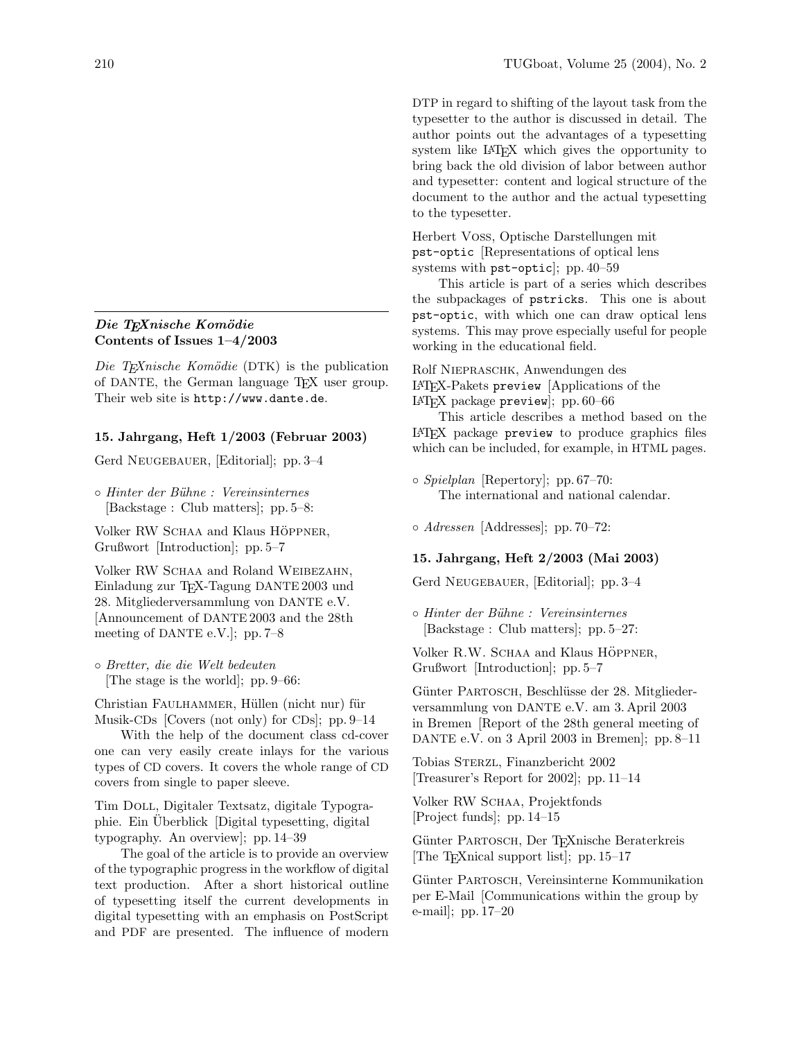## Die TEXnische Komödie Contents of Issues 1–4/2003

Die T<sub>E</sub>Xnische Komödie (DTK) is the publication of DANTE, the German language TEX user group. Their web site is http://www.dante.de.

# 15. Jahrgang, Heft 1/2003 (Februar 2003)

Gerd NEUGEBAUER, [Editorial]; pp. 3–4

◦ Hinter der B¨uhne : Vereinsinternes [Backstage : Club matters]; pp. 5–8:

Volker RW SCHAA and Klaus HÖPPNER, Grußwort [Introduction]; pp. 5–7

Volker RW SCHAA and Roland WEIBEZAHN, Einladung zur TEX-Tagung DANTE 2003 und 28. Mitgliederversammlung von DANTE e.V. [Announcement of DANTE 2003 and the 28th meeting of DANTE e.V.]; pp. 7–8

◦ Bretter, die die Welt bedeuten [The stage is the world]; pp. 9–66:

Christian FAULHAMMER, Hüllen (nicht nur) für Musik-CDs [Covers (not only) for CDs]; pp. 9–14

With the help of the document class cd-cover one can very easily create inlays for the various types of CD covers. It covers the whole range of CD covers from single to paper sleeve.

Tim Doll, Digitaler Textsatz, digitale Typographie. Ein Uberblick [Digital typesetting, digital typography. An overview]; pp. 14–39

The goal of the article is to provide an overview of the typographic progress in the workflow of digital text production. After a short historical outline of typesetting itself the current developments in digital typesetting with an emphasis on PostScript and PDF are presented. The influence of modern

DTP in regard to shifting of the layout task from the typesetter to the author is discussed in detail. The author points out the advantages of a typesetting system like LATEX which gives the opportunity to bring back the old division of labor between author and typesetter: content and logical structure of the document to the author and the actual typesetting to the typesetter.

Herbert Voß, Optische Darstellungen mit pst-optic [Representations of optical lens systems with pst-optic]; pp. 40–59

This article is part of a series which describes the subpackages of pstricks. This one is about pst-optic, with which one can draw optical lens systems. This may prove especially useful for people working in the educational field.

Rolf NIEPRASCHK, Anwendungen des LATEX-Pakets preview [Applications of the LATEX package preview]; pp. 60–66

This article describes a method based on the LATEX package preview to produce graphics files which can be included, for example, in HTML pages.

◦ Spielplan [Repertory]; pp. 67–70: The international and national calendar.

◦ Adressen [Addresses]; pp. 70–72:

#### 15. Jahrgang, Heft 2/2003 (Mai 2003)

Gerd NEUGEBAUER, [Editorial]; pp. 3–4

◦ Hinter der B¨uhne : Vereinsinternes [Backstage : Club matters]; pp. 5–27:

Volker R.W. SCHAA and Klaus HÖPPNER, Grußwort [Introduction]; pp. 5–7

Günter PARTOSCH, Beschlüsse der 28. Mitgliederversammlung von DANTE e.V. am 3. April 2003 in Bremen [Report of the 28th general meeting of DANTE e.V. on 3 April 2003 in Bremen]; pp. 8–11

Tobias Sterzl, Finanzbericht 2002 [Treasurer's Report for 2002]; pp. 11–14

Volker RW SCHAA, Projektfonds [Project funds]; pp. 14–15

Günter PARTOSCH, Der TFXnische Beraterkreis [The TEXnical support list]; pp. 15–17

Günter PARTOSCH, Vereinsinterne Kommunikation per E-Mail [Communications within the group by e-mail]; pp. 17–20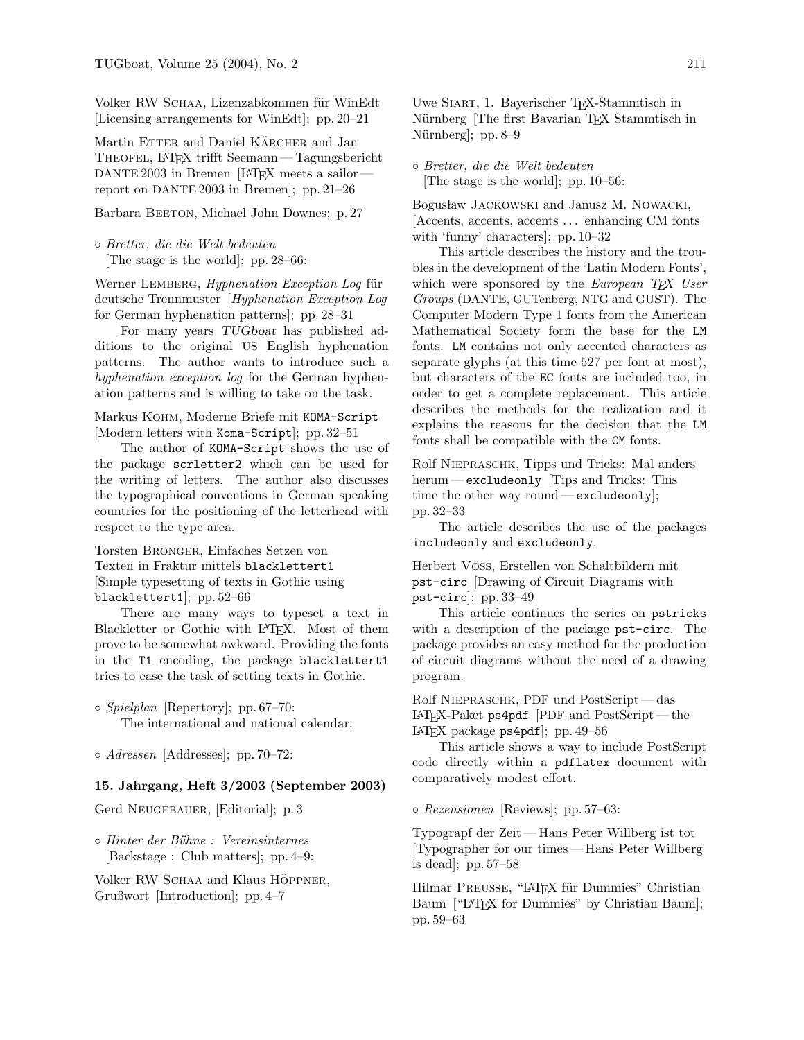Volker RW SCHAA, Lizenzabkommen für WinEdt [Licensing arrangements for WinEdt]; pp. 20–21

Martin ETTER and Daniel KÄRCHER and Jan Theofel, LATEX trifft Seemann— Tagungsbericht DANTE 2003 in Bremen [LATEX meets a sailor report on DANTE 2003 in Bremen]; pp. 21–26

Barbara BEETON, Michael John Downes; p. 27

◦ Bretter, die die Welt bedeuten [The stage is the world]; pp. 28–66:

Werner LEMBERG, *Hyphenation Exception Log* für deutsche Trennmuster [Hyphenation Exception Log for German hyphenation patterns]; pp. 28–31

For many years TUGboat has published additions to the original US English hyphenation patterns. The author wants to introduce such a hyphenation exception log for the German hyphenation patterns and is willing to take on the task.

Markus Kohm, Moderne Briefe mit KOMA-Script [Modern letters with Koma-Script]; pp. 32–51

The author of KOMA-Script shows the use of the package scrletter2 which can be used for the writing of letters. The author also discusses the typographical conventions in German speaking countries for the positioning of the letterhead with respect to the type area.

Torsten Bronger, Einfaches Setzen von Texten in Fraktur mittels blacklettert1 [Simple typesetting of texts in Gothic using blacklettert1]; pp. 52–66

There are many ways to typeset a text in Blackletter or Gothic with LATEX. Most of them prove to be somewhat awkward. Providing the fonts in the T1 encoding, the package blacklettert1 tries to ease the task of setting texts in Gothic.

◦ Spielplan [Repertory]; pp. 67–70: The international and national calendar.

◦ Adressen [Addresses]; pp. 70–72:

## 15. Jahrgang, Heft 3/2003 (September 2003)

Gerd Neugebauer, [Editorial]; p. 3

◦ Hinter der B¨uhne : Vereinsinternes [Backstage : Club matters]; pp. 4–9:

Volker RW SCHAA and Klaus HÖPPNER, Grußwort [Introduction]; pp. 4–7

Uwe Siart, 1. Bayerischer TEX-Stammtisch in Nürnberg [The first Bavarian TFX Stammtisch in Nürnberg]; pp. 8–9

◦ Bretter, die die Welt bedeuten [The stage is the world]; pp. 10–56:

Bogusław JACKOWSKI and Janusz M. NOWACKI, [Accents, accents, accents . . . enhancing CM fonts with 'funny' characters]; pp. 10–32

This article describes the history and the troubles in the development of the 'Latin Modern Fonts', which were sponsored by the *European T<sub>EX</sub> User* Groups (DANTE, GUTenberg, NTG and GUST). The Computer Modern Type 1 fonts from the American Mathematical Society form the base for the LM fonts. LM contains not only accented characters as separate glyphs (at this time 527 per font at most), but characters of the EC fonts are included too, in order to get a complete replacement. This article describes the methods for the realization and it explains the reasons for the decision that the LM fonts shall be compatible with the CM fonts.

Rolf Niepraschk, Tipps und Tricks: Mal anders herum — excludeonly [Tips and Tricks: This time the other way round— excludeonly]; pp. 32–33

The article describes the use of the packages includeonly and excludeonly.

Herbert Voß, Erstellen von Schaltbildern mit pst-circ [Drawing of Circuit Diagrams with pst-circ]; pp. 33–49

This article continues the series on pstricks with a description of the package pst-circ. The package provides an easy method for the production of circuit diagrams without the need of a drawing program.

Rolf Niepraschk, PDF und PostScript— das LATEX-Paket ps4pdf [PDF and PostScript — the LAT<sub>F</sub>X package  $p$ s4 $p$ df]; pp. 49–56

This article shows a way to include PostScript code directly within a pdflatex document with comparatively modest effort.

◦ Rezensionen [Reviews]; pp. 57–63:

Typograpf der Zeit— Hans Peter Willberg ist tot [Typographer for our times — Hans Peter Willberg is dead]; pp. 57–58

Hilmar PREUSSE, "LATEX für Dummies" Christian Baum ["LAT<sub>EX</sub> for Dummies" by Christian Baum]; pp. 59–63